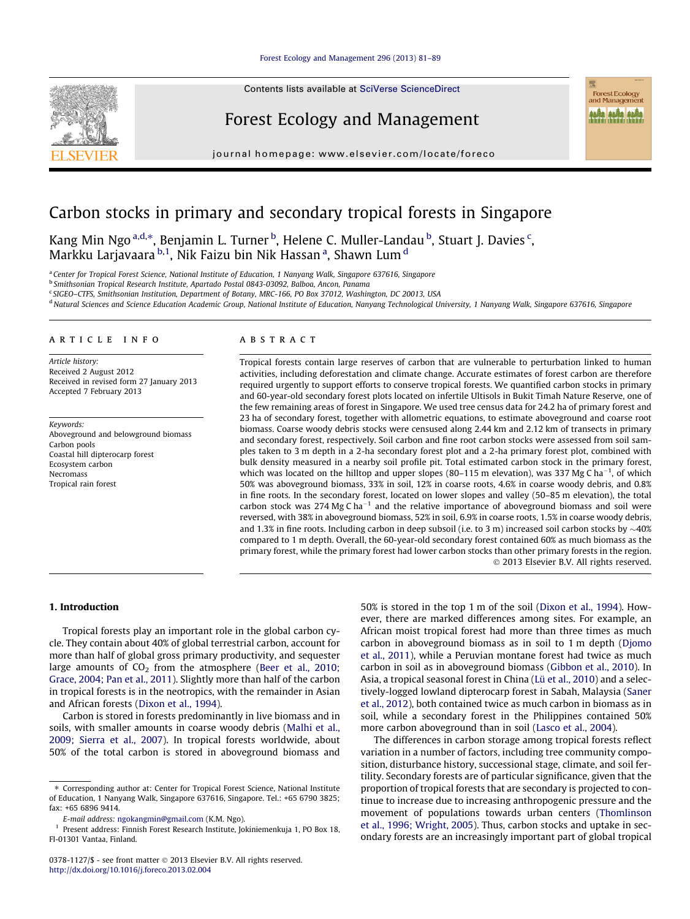## [Forest Ecology and Management 296 \(2013\) 81–89](http://dx.doi.org/10.1016/j.foreco.2013.02.004)



Contents lists available at [SciVerse ScienceDirect](http://www.sciencedirect.com/science/journal/03781127)

# Forest Ecology and Management

journal homepage: [www.elsevier.com/locate/foreco](http://www.elsevier.com/locate/foreco)

# Carbon stocks in primary and secondary tropical forests in Singapore

Kang Min Ngo<sup>a,d,</sup>\*, Benjamin L. Turner <sup>b</sup>, Helene C. Muller-Landau <sup>b</sup>, Stuart J. Davies <sup>c</sup>, Markku Larjavaara <sup>b, 1</sup>, Nik Faizu bin Nik Hassan <sup>a</sup>, Shawn Lum <sup>d</sup>

a Center for Tropical Forest Science, National Institute of Education, 1 Nanyang Walk, Singapore 637616, Singapore

<sup>b</sup> Smithsonian Tropical Research Institute, Apartado Postal 0843-03092, Balboa, Ancon, Panama

<sup>c</sup> SIGEO–CTFS, Smithsonian Institution, Department of Botany, MRC-166, PO Box 37012, Washington, DC 20013, USA

<sup>d</sup> Natural Sciences and Science Education Academic Group, National Institute of Education, Nanyang Technological University, 1 Nanyang Walk, Singapore 637616, Singapore

# article info

Article history: Received 2 August 2012 Received in revised form 27 January 2013 Accepted 7 February 2013

Keywords: Aboveground and belowground biomass Carbon pools Coastal hill dipterocarp forest Ecosystem carbon Necromass Tropical rain forest

## ABSTRACT

Tropical forests contain large reserves of carbon that are vulnerable to perturbation linked to human activities, including deforestation and climate change. Accurate estimates of forest carbon are therefore required urgently to support efforts to conserve tropical forests. We quantified carbon stocks in primary and 60-year-old secondary forest plots located on infertile Ultisols in Bukit Timah Nature Reserve, one of the few remaining areas of forest in Singapore. We used tree census data for 24.2 ha of primary forest and 23 ha of secondary forest, together with allometric equations, to estimate aboveground and coarse root biomass. Coarse woody debris stocks were censused along 2.44 km and 2.12 km of transects in primary and secondary forest, respectively. Soil carbon and fine root carbon stocks were assessed from soil samples taken to 3 m depth in a 2-ha secondary forest plot and a 2-ha primary forest plot, combined with bulk density measured in a nearby soil profile pit. Total estimated carbon stock in the primary forest, which was located on the hilltop and upper slopes (80–115 m elevation), was 337 Mg C ha<sup>-1</sup>, of which 50% was aboveground biomass, 33% in soil, 12% in coarse roots, 4.6% in coarse woody debris, and 0.8% in fine roots. In the secondary forest, located on lower slopes and valley (50–85 m elevation), the total carbon stock was 274 Mg C ha<sup>-1</sup> and the relative importance of aboveground biomass and soil were reversed, with 38% in aboveground biomass, 52% in soil, 6.9% in coarse roots, 1.5% in coarse woody debris, and 1.3% in fine roots. Including carbon in deep subsoil (i.e. to 3 m) increased soil carbon stocks by  $\sim$ 40% compared to 1 m depth. Overall, the 60-year-old secondary forest contained 60% as much biomass as the primary forest, while the primary forest had lower carbon stocks than other primary forests in the region. - 2013 Elsevier B.V. All rights reserved.

## 1. Introduction

Tropical forests play an important role in the global carbon cycle. They contain about 40% of global terrestrial carbon, account for more than half of global gross primary productivity, and sequester large amounts of  $CO<sub>2</sub>$  from the atmosphere [\(Beer et al., 2010;](#page-7-0) [Grace, 2004; Pan et al., 2011\)](#page-7-0). Slightly more than half of the carbon in tropical forests is in the neotropics, with the remainder in Asian and African forests ([Dixon et al., 1994](#page-7-0)).

Carbon is stored in forests predominantly in live biomass and in soils, with smaller amounts in coarse woody debris ([Malhi et al.,](#page-7-0) [2009; Sierra et al., 2007\)](#page-7-0). In tropical forests worldwide, about 50% of the total carbon is stored in aboveground biomass and 50% is stored in the top 1 m of the soil [\(Dixon et al., 1994\)](#page-7-0). However, there are marked differences among sites. For example, an African moist tropical forest had more than three times as much carbon in aboveground biomass as in soil to 1 m depth [\(Djomo](#page-7-0) [et al., 2011](#page-7-0)), while a Peruvian montane forest had twice as much carbon in soil as in aboveground biomass [\(Gibbon et al., 2010](#page-7-0)). In Asia, a tropical seasonal forest in China ([Lü et al., 2010\)](#page-7-0) and a selectively-logged lowland dipterocarp forest in Sabah, Malaysia ([Saner](#page-7-0) [et al., 2012\)](#page-7-0), both contained twice as much carbon in biomass as in soil, while a secondary forest in the Philippines contained 50% more carbon aboveground than in soil [\(Lasco et al., 2004](#page-7-0)).

Forest Ecology<br>and Management anka anka anka

The differences in carbon storage among tropical forests reflect variation in a number of factors, including tree community composition, disturbance history, successional stage, climate, and soil fertility. Secondary forests are of particular significance, given that the proportion of tropical forests that are secondary is projected to continue to increase due to increasing anthropogenic pressure and the movement of populations towards urban centers ([Thomlinson](#page-8-0) [et al., 1996; Wright, 2005\)](#page-8-0). Thus, carbon stocks and uptake in secondary forests are an increasingly important part of global tropical

<sup>⇑</sup> Corresponding author at: Center for Tropical Forest Science, National Institute of Education, 1 Nanyang Walk, Singapore 637616, Singapore. Tel.: +65 6790 3825; fax: +65 6896 9414.

E-mail address: [ngokangmin@gmail.com](mailto:ngokangmin@gmail.com) (K.M. Ngo).

<sup>1</sup> Present address: Finnish Forest Research Institute, Jokiniemenkuja 1, PO Box 18, FI-01301 Vantaa, Finland.

<sup>0378-1127/\$ -</sup> see front matter © 2013 Elsevier B.V. All rights reserved. <http://dx.doi.org/10.1016/j.foreco.2013.02.004>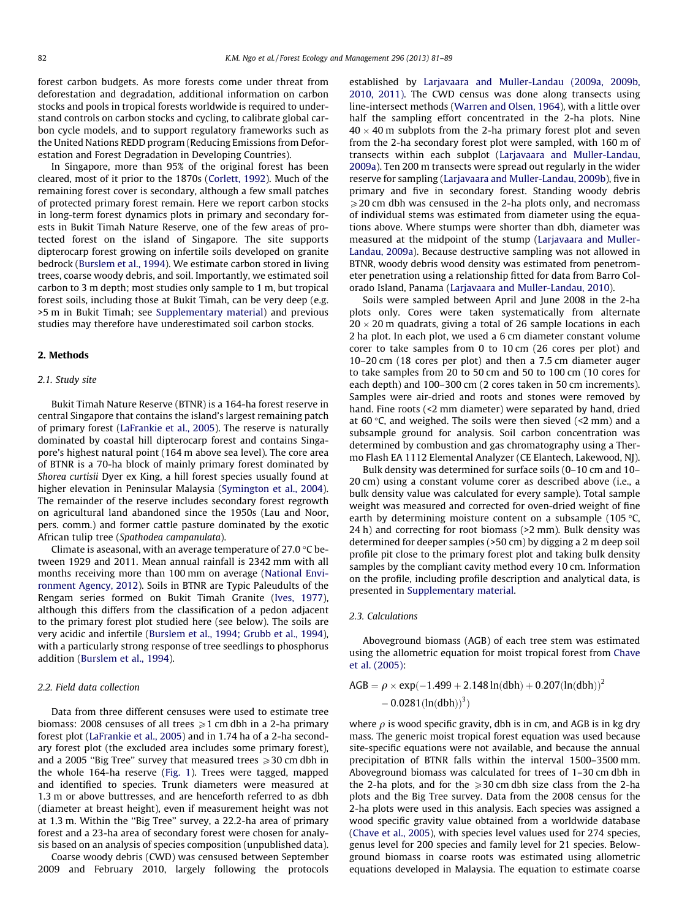forest carbon budgets. As more forests come under threat from deforestation and degradation, additional information on carbon stocks and pools in tropical forests worldwide is required to understand controls on carbon stocks and cycling, to calibrate global carbon cycle models, and to support regulatory frameworks such as the United Nations REDD program (Reducing Emissions from Deforestation and Forest Degradation in Developing Countries).

In Singapore, more than 95% of the original forest has been cleared, most of it prior to the 1870s [\(Corlett, 1992](#page-7-0)). Much of the remaining forest cover is secondary, although a few small patches of protected primary forest remain. Here we report carbon stocks in long-term forest dynamics plots in primary and secondary forests in Bukit Timah Nature Reserve, one of the few areas of protected forest on the island of Singapore. The site supports dipterocarp forest growing on infertile soils developed on granite bedrock [\(Burslem et al., 1994\)](#page-7-0). We estimate carbon stored in living trees, coarse woody debris, and soil. Importantly, we estimated soil carbon to 3 m depth; most studies only sample to 1 m, but tropical forest soils, including those at Bukit Timah, can be very deep (e.g. >5 m in Bukit Timah; see Supplementary material) and previous studies may therefore have underestimated soil carbon stocks.

## 2. Methods

# 2.1. Study site

Bukit Timah Nature Reserve (BTNR) is a 164-ha forest reserve in central Singapore that contains the island's largest remaining patch of primary forest ([LaFrankie et al., 2005\)](#page-7-0). The reserve is naturally dominated by coastal hill dipterocarp forest and contains Singapore's highest natural point (164 m above sea level). The core area of BTNR is a 70-ha block of mainly primary forest dominated by Shorea curtisii Dyer ex King, a hill forest species usually found at higher elevation in Peninsular Malaysia ([Symington et al., 2004\)](#page-8-0). The remainder of the reserve includes secondary forest regrowth on agricultural land abandoned since the 1950s (Lau and Noor, pers. comm.) and former cattle pasture dominated by the exotic African tulip tree (Spathodea campanulata).

Climate is aseasonal, with an average temperature of 27.0  $\degree$ C between 1929 and 2011. Mean annual rainfall is 2342 mm with all months receiving more than 100 mm on average ([National Envi](#page-7-0)[ronment Agency, 2012](#page-7-0)). Soils in BTNR are Typic Paleudults of the Rengam series formed on Bukit Timah Granite [\(Ives, 1977\)](#page-7-0), although this differs from the classification of a pedon adjacent to the primary forest plot studied here (see below). The soils are very acidic and infertile ([Burslem et al., 1994; Grubb et al., 1994\)](#page-7-0), with a particularly strong response of tree seedlings to phosphorus addition ([Burslem et al., 1994\)](#page-7-0).

## 2.2. Field data collection

Data from three different censuses were used to estimate tree biomass: 2008 censuses of all trees  $\geq 1$  cm dbh in a 2-ha primary forest plot [\(LaFrankie et al., 2005](#page-7-0)) and in 1.74 ha of a 2-ha secondary forest plot (the excluded area includes some primary forest), and a 2005 "Big Tree" survey that measured trees  $\geqslant$  30 cm dbh in the whole 164-ha reserve ([Fig. 1\)](#page-2-0). Trees were tagged, mapped and identified to species. Trunk diameters were measured at 1.3 m or above buttresses, and are henceforth referred to as dbh (diameter at breast height), even if measurement height was not at 1.3 m. Within the ''Big Tree'' survey, a 22.2-ha area of primary forest and a 23-ha area of secondary forest were chosen for analysis based on an analysis of species composition (unpublished data).

Coarse woody debris (CWD) was censused between September 2009 and February 2010, largely following the protocols established by [Larjavaara and Muller-Landau \(2009a, 2009b,](#page-7-0) [2010, 2011\).](#page-7-0) The CWD census was done along transects using line-intersect methods [\(Warren and Olsen, 1964](#page-8-0)), with a little over half the sampling effort concentrated in the 2-ha plots. Nine  $40 \times 40$  m subplots from the 2-ha primary forest plot and seven from the 2-ha secondary forest plot were sampled, with 160 m of transects within each subplot [\(Larjavaara and Muller-Landau,](#page-7-0) [2009a\)](#page-7-0). Ten 200 m transects were spread out regularly in the wider reserve for sampling [\(Larjavaara and Muller-Landau, 2009b\)](#page-7-0), five in primary and five in secondary forest. Standing woody debris  $\geqslant$  20 cm dbh was censused in the 2-ha plots only, and necromass of individual stems was estimated from diameter using the equations above. Where stumps were shorter than dbh, diameter was measured at the midpoint of the stump [\(Larjavaara and Muller-](#page-7-0)[Landau, 2009a\)](#page-7-0). Because destructive sampling was not allowed in BTNR, woody debris wood density was estimated from penetrometer penetration using a relationship fitted for data from Barro Colorado Island, Panama ([Larjavaara and Muller-Landau, 2010](#page-7-0)).

Soils were sampled between April and June 2008 in the 2-ha plots only. Cores were taken systematically from alternate  $20 \times 20$  m quadrats, giving a total of 26 sample locations in each 2 ha plot. In each plot, we used a 6 cm diameter constant volume corer to take samples from 0 to 10 cm (26 cores per plot) and 10–20 cm (18 cores per plot) and then a 7.5 cm diameter auger to take samples from 20 to 50 cm and 50 to 100 cm (10 cores for each depth) and 100–300 cm (2 cores taken in 50 cm increments). Samples were air-dried and roots and stones were removed by hand. Fine roots (<2 mm diameter) were separated by hand, dried at 60 °C, and weighed. The soils were then sieved  $(2 \text{ mm})$  and a subsample ground for analysis. Soil carbon concentration was determined by combustion and gas chromatography using a Thermo Flash EA 1112 Elemental Analyzer (CE Elantech, Lakewood, NJ).

Bulk density was determined for surface soils (0–10 cm and 10– 20 cm) using a constant volume corer as described above (i.e., a bulk density value was calculated for every sample). Total sample weight was measured and corrected for oven-dried weight of fine earth by determining moisture content on a subsample (105 $\degree$ C, 24 h) and correcting for root biomass (>2 mm). Bulk density was determined for deeper samples (>50 cm) by digging a 2 m deep soil profile pit close to the primary forest plot and taking bulk density samples by the compliant cavity method every 10 cm. Information on the profile, including profile description and analytical data, is presented in Supplementary material.

# 2.3. Calculations

Aboveground biomass (AGB) of each tree stem was estimated using the allometric equation for moist tropical forest from [Chave](#page-7-0) [et al. \(2005\):](#page-7-0)

$$
AGB = \rho \times \exp(-1.499 + 2.148 \ln(dbh) + 0.207(\ln(dbh))^{2}
$$

$$
- 0.0281(\ln(dbh))^{3})
$$

where  $\rho$  is wood specific gravity, dbh is in cm, and AGB is in kg dry mass. The generic moist tropical forest equation was used because site-specific equations were not available, and because the annual precipitation of BTNR falls within the interval 1500–3500 mm. Aboveground biomass was calculated for trees of 1–30 cm dbh in the 2-ha plots, and for the  $\geq 30$  cm dbh size class from the 2-ha plots and the Big Tree survey. Data from the 2008 census for the 2-ha plots were used in this analysis. Each species was assigned a wood specific gravity value obtained from a worldwide database ([Chave et al., 2005](#page-7-0)), with species level values used for 274 species, genus level for 200 species and family level for 21 species. Belowground biomass in coarse roots was estimated using allometric equations developed in Malaysia. The equation to estimate coarse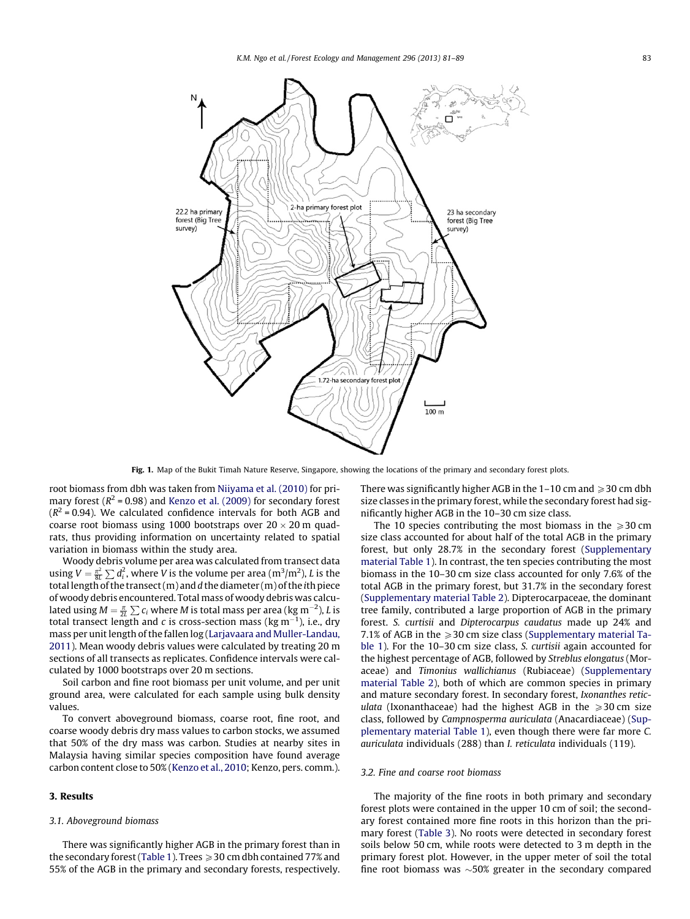<span id="page-2-0"></span>

Fig. 1. Map of the Bukit Timah Nature Reserve, Singapore, showing the locations of the primary and secondary forest plots.

root biomass from dbh was taken from [Niiyama et al. \(2010\)](#page-7-0) for primary forest ( $R^2$  = 0.98) and [Kenzo et al. \(2009\)](#page-7-0) for secondary forest  $(R^2 = 0.94)$ . We calculated confidence intervals for both AGB and coarse root biomass using 1000 bootstraps over  $20 \times 20$  m quadrats, thus providing information on uncertainty related to spatial variation in biomass within the study area.

Woody debris volume per area was calculated from transect data using  $V = \frac{\pi^2}{8L} \sum d_i^2$ , where V is the volume per area (m<sup>3</sup>/m<sup>2</sup>), L is the total length of the transect (m) and d the diameter (m) of the ith piece of woody debris encountered. Total mass of woody debris was calculated using  $M = \frac{\pi}{2L} \sum c_i$  where M is total mass per area (kg m<sup>-2</sup>), L is total transect length and c is cross-section mass (kg  $m^{-1}$ ), i.e., dry mass per unit length of the fallen log [\(Larjavaara and Muller-Landau,](#page-7-0) [2011\)](#page-7-0). Mean woody debris values were calculated by treating 20 m sections of all transects as replicates. Confidence intervals were calculated by 1000 bootstraps over 20 m sections.

Soil carbon and fine root biomass per unit volume, and per unit ground area, were calculated for each sample using bulk density values.

To convert aboveground biomass, coarse root, fine root, and coarse woody debris dry mass values to carbon stocks, we assumed that 50% of the dry mass was carbon. Studies at nearby sites in Malaysia having similar species composition have found average carbon content close to 50% [\(Kenzo et al., 2010;](#page-7-0) Kenzo, pers. comm.).

# 3. Results

## 3.1. Aboveground biomass

There was significantly higher AGB in the primary forest than in the secondary forest [\(Table 1](#page-3-0)). Trees  $\geqslant$  30 cm dbh contained 77% and 55% of the AGB in the primary and secondary forests, respectively. There was significantly higher AGB in the  $1-10$  cm and  $\geqslant$  30 cm dbh size classes in the primary forest, while the secondary forest had significantly higher AGB in the 10–30 cm size class.

The 10 species contributing the most biomass in the  $\geq 30$  cm size class accounted for about half of the total AGB in the primary forest, but only 28.7% in the secondary forest (Supplementary material Table 1). In contrast, the ten species contributing the most biomass in the 10–30 cm size class accounted for only 7.6% of the total AGB in the primary forest, but 31.7% in the secondary forest (Supplementary material Table 2). Dipterocarpaceae, the dominant tree family, contributed a large proportion of AGB in the primary forest. S. curtisii and Dipterocarpus caudatus made up 24% and 7.1% of AGB in the  $\geqslant$  30 cm size class (Supplementary material Table 1). For the 10–30 cm size class, S. curtisii again accounted for the highest percentage of AGB, followed by Streblus elongatus (Moraceae) and Timonius wallichianus (Rubiaceae) (Supplementary material Table 2), both of which are common species in primary and mature secondary forest. In secondary forest, Ixonanthes reticulata (Ixonanthaceae) had the highest AGB in the  $\geq 30$  cm size class, followed by Campnosperma auriculata (Anacardiaceae) (Supplementary material Table 1), even though there were far more C. auriculata individuals (288) than I. reticulata individuals (119).

### 3.2. Fine and coarse root biomass

The majority of the fine roots in both primary and secondary forest plots were contained in the upper 10 cm of soil; the secondary forest contained more fine roots in this horizon than the primary forest [\(Table 3](#page-4-0)). No roots were detected in secondary forest soils below 50 cm, while roots were detected to 3 m depth in the primary forest plot. However, in the upper meter of soil the total fine root biomass was  $\sim$ 50% greater in the secondary compared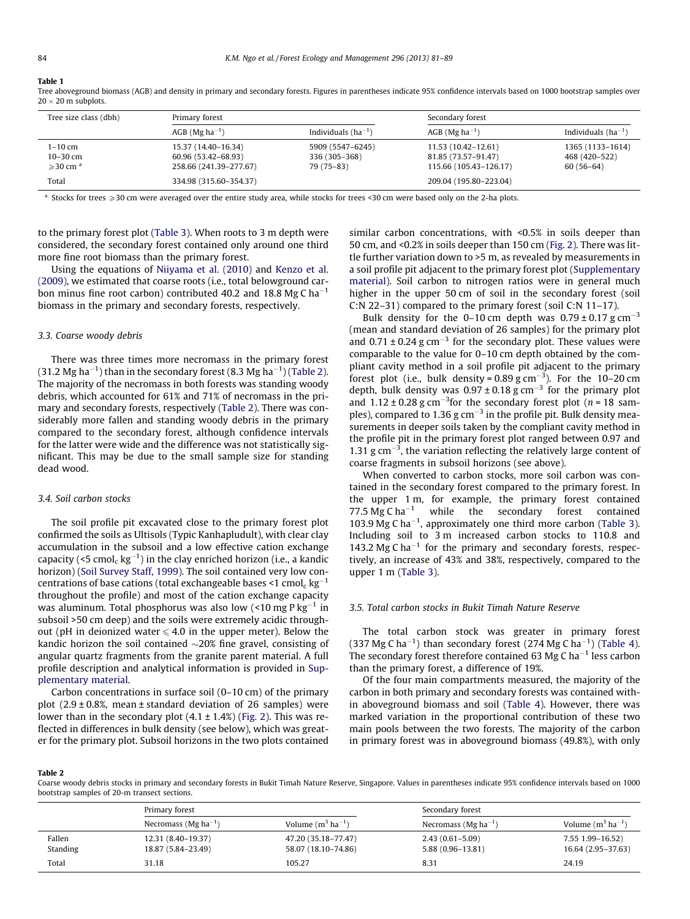#### <span id="page-3-0"></span>Table 1

Tree aboveground biomass (AGB) and density in primary and secondary forests. Figures in parentheses indicate 95% confidence intervals based on 1000 bootstrap samples over  $20 \times 20$  m subplots.

| Tree size class (dbh)                                     | Primary forest                                                       |                                                 |                                                                      | Secondary forest                                 |  |  |
|-----------------------------------------------------------|----------------------------------------------------------------------|-------------------------------------------------|----------------------------------------------------------------------|--------------------------------------------------|--|--|
|                                                           | $AGB$ (Mg ha <sup>-1</sup> )                                         | Individuals $(ha^{-1})$                         | $AGB$ (Mg ha <sup>-1</sup> )                                         | Individuals $(ha^{-1})$                          |  |  |
| 1-10 cm<br>$10 - 30$ cm<br>$\geqslant$ 30 cm <sup>a</sup> | 15.37 (14.40–16.34)<br>60.96 (53.42–68.93)<br>258.66 (241.39-277.67) | 5909 (5547-6245)<br>336 (305-368)<br>79 (75-83) | 11.53 (10.42–12.61)<br>81.85 (73.57-91.47)<br>115.66 (105.43-126.17) | 1365 (1133–1614)<br>468 (420-522)<br>$60(56-64)$ |  |  |
| Total                                                     | 334.98 (315.60-354.37)                                               |                                                 | 209.04 (195.80-223.04)                                               |                                                  |  |  |

 $^{\text{a}}$  Stocks for trees  $\geqslant$  30 cm were averaged over the entire study area, while stocks for trees <30 cm were based only on the 2-ha plots.

to the primary forest plot ([Table 3\)](#page-4-0). When roots to 3 m depth were considered, the secondary forest contained only around one third more fine root biomass than the primary forest.

Using the equations of [Niiyama et al. \(2010\)](#page-7-0) and [Kenzo et al.](#page-7-0) [\(2009\),](#page-7-0) we estimated that coarse roots (i.e., total belowground carbon minus fine root carbon) contributed 40.2 and 18.8 Mg C ha<sup>-1</sup> biomass in the primary and secondary forests, respectively.

#### 3.3. Coarse woody debris

There was three times more necromass in the primary forest (31.2 Mg ha $^{-1}$ ) than in the secondary forest (8.3 Mg ha $^{-1}$ ) (Table 2). The majority of the necromass in both forests was standing woody debris, which accounted for 61% and 71% of necromass in the primary and secondary forests, respectively (Table 2). There was considerably more fallen and standing woody debris in the primary compared to the secondary forest, although confidence intervals for the latter were wide and the difference was not statistically significant. This may be due to the small sample size for standing dead wood.

### 3.4. Soil carbon stocks

The soil profile pit excavated close to the primary forest plot confirmed the soils as Ultisols (Typic Kanhapludult), with clear clay accumulation in the subsoil and a low effective cation exchange capacity (<5  $\mathsf{cmol_c}\,\mathrm{kg^{-1}}$ ) in the clay enriched horizon (i.e., a kandic horizon) ([Soil Survey Staff, 1999\)](#page-7-0). The soil contained very low concentrations of base cations (total exchangeable bases <1  $\mathsf{cmol}_{\mathsf{c}}\, \mathsf{kg}^{-1}$ throughout the profile) and most of the cation exchange capacity was aluminum. Total phosphorus was also low (<10 mg P  $\rm kg^{-1}$  in subsoil >50 cm deep) and the soils were extremely acidic throughout (pH in deionized water  $\leq 4.0$  in the upper meter). Below the kandic horizon the soil contained  $\sim$ 20% fine gravel, consisting of angular quartz fragments from the granite parent material. A full profile description and analytical information is provided in Supplementary material.

Carbon concentrations in surface soil (0–10 cm) of the primary plot  $(2.9 \pm 0.8\%)$  mean  $\pm$  standard deviation of 26 samples) were lower than in the secondary plot  $(4.1 \pm 1.4\%)$  ([Fig. 2](#page-4-0)). This was reflected in differences in bulk density (see below), which was greater for the primary plot. Subsoil horizons in the two plots contained similar carbon concentrations, with <0.5% in soils deeper than 50 cm, and <0.2% in soils deeper than 150 cm ([Fig. 2\)](#page-4-0). There was little further variation down to >5 m, as revealed by measurements in a soil profile pit adjacent to the primary forest plot (Supplementary material). Soil carbon to nitrogen ratios were in general much higher in the upper 50 cm of soil in the secondary forest (soil C:N 22–31) compared to the primary forest (soil C:N 11–17).

Bulk density for the 0–10 cm depth was  $0.79 \pm 0.17$  g cm<sup>-3</sup> (mean and standard deviation of 26 samples) for the primary plot and  $0.71 \pm 0.24$  g cm<sup>-3</sup> for the secondary plot. These values were comparable to the value for 0–10 cm depth obtained by the compliant cavity method in a soil profile pit adjacent to the primary forest plot (i.e., bulk density =  $0.89$  g cm<sup>-3</sup>). For the 10-20 cm depth, bulk density was  $0.97 \pm 0.18$  g cm<sup>-3</sup> for the primary plot and  $1.12 \pm 0.28$  g cm<sup>-3</sup> for the secondary forest plot (*n* = 18 samples), compared to 1.36 g  $cm^{-3}$  in the profile pit. Bulk density measurements in deeper soils taken by the compliant cavity method in the profile pit in the primary forest plot ranged between 0.97 and 1.31  $\rm g$  cm<sup>-3</sup>, the variation reflecting the relatively large content of coarse fragments in subsoil horizons (see above).

When converted to carbon stocks, more soil carbon was contained in the secondary forest compared to the primary forest. In the upper 1 m, for example, the primary forest contained 77.5 Mg C ha<sup>-1</sup> while the secondary forest contained 103.9 Mg C ha<sup> $-1$ </sup>, approximately one third more carbon ([Table 3\)](#page-4-0). Including soil to 3 m increased carbon stocks to 110.8 and 143.2 Mg C ha<sup> $-1$ </sup> for the primary and secondary forests, respectively, an increase of 43% and 38%, respectively, compared to the upper 1 m ([Table 3](#page-4-0)).

# 3.5. Total carbon stocks in Bukit Timah Nature Reserve

The total carbon stock was greater in primary forest (337 Mg C ha<sup>-1</sup>) than secondary forest (274 Mg C ha<sup>-1</sup>) [\(Table 4\)](#page-4-0). The secondary forest therefore contained 63 Mg C ha<sup> $-1$ </sup> less carbon than the primary forest, a difference of 19%.

Of the four main compartments measured, the majority of the carbon in both primary and secondary forests was contained within aboveground biomass and soil ([Table 4](#page-4-0)). However, there was marked variation in the proportional contribution of these two main pools between the two forests. The majority of the carbon in primary forest was in aboveground biomass (49.8%), with only

Table 2

Coarse woody debris stocks in primary and secondary forests in Bukit Timah Nature Reserve, Singapore. Values in parentheses indicate 95% confidence intervals based on 1000 bootstrap samples of 20-m transect sections.

|                    | Primary forest                           |                                            |                                          | Secondary forest                           |  |  |
|--------------------|------------------------------------------|--------------------------------------------|------------------------------------------|--------------------------------------------|--|--|
|                    | Necromass (Mg $ha^{-1}$ )                | Volume $(m^3 \text{ ha}^{-1})$             | Necromass (Mg ha <sup>-1</sup> )         | Volume $(m^3 \text{ ha}^{-1})$             |  |  |
| Fallen<br>Standing | 12.31 (8.40–19.37)<br>18.87 (5.84–23.49) | 47.20 (35.18–77.47)<br>58.07 (18.10–74.86) | $2.43(0.61 - 5.09)$<br>5.88 (0.96-13.81) | 7.55 1.99 - 16.52)<br>16.64 (2.95 - 37.63) |  |  |
| Total              | 31.18                                    | 105.27                                     | 8.31                                     | 24.19                                      |  |  |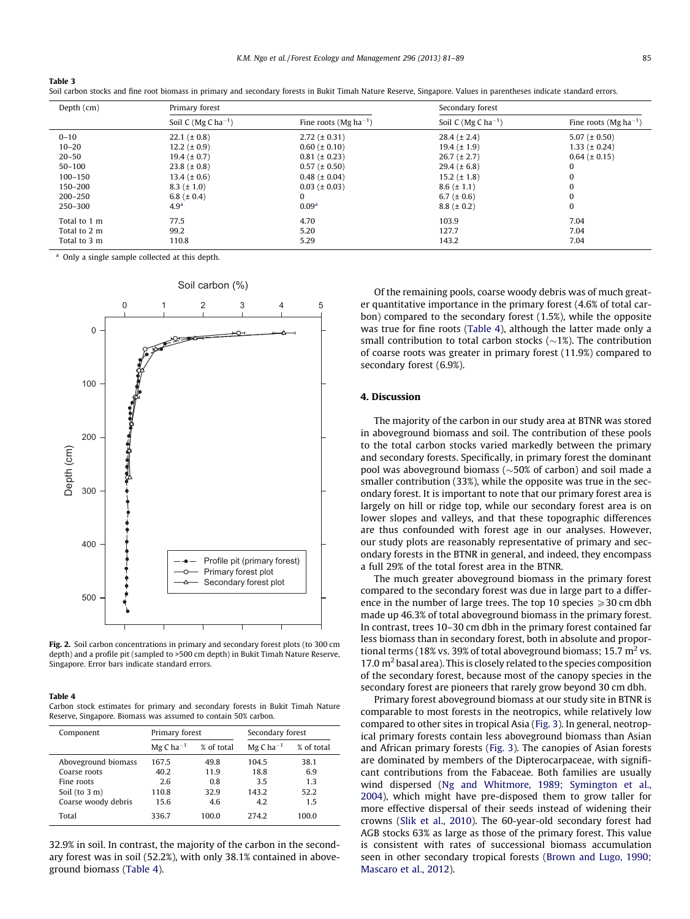|  | Soil carbon stocks and fine root biomass in primary and secondary forests in Bukit Timah Nature Reserve, Singapore. Values in parentheses indicate standard errors |  |  |  |
|--|--------------------------------------------------------------------------------------------------------------------------------------------------------------------|--|--|--|
|--|--------------------------------------------------------------------------------------------------------------------------------------------------------------------|--|--|--|

| Depth (cm)   | Primary forest           |                                   |                                 | Secondary forest           |  |  |
|--------------|--------------------------|-----------------------------------|---------------------------------|----------------------------|--|--|
|              | Soil C (Mg C $ha^{-1}$ ) | Fine roots (Mg ha <sup>-1</sup> ) | Soil C (Mg C ha <sup>-1</sup> ) | Fine roots (Mg $ha^{-1}$ ) |  |  |
| $0 - 10$     | $22.1 (\pm 0.8)$         | $2.72 (\pm 0.31)$                 | $28.4 (\pm 2.4)$                | $5.07 (\pm 0.50)$          |  |  |
| $10 - 20$    | $12.2 (\pm 0.9)$         | $0.60 (\pm 0.10)$                 | $19.4 (\pm 1.9)$                | $1.33 (\pm 0.24)$          |  |  |
| $20 - 50$    | $19.4~(\pm 0.7)$         | $0.81 (\pm 0.23)$                 | $26.7 (\pm 2.7)$                | $0.64 (\pm 0.15)$          |  |  |
| $50 - 100$   | $23.8 (\pm 0.8)$         | $0.57 (\pm 0.50)$                 | $29.4 (\pm 6.8)$                | 0                          |  |  |
| $100 - 150$  | $13.4~(\pm 0.6)$         | $0.48$ ( $\pm$ 0.04)              | $15.2 (\pm 1.8)$                | $\bf{0}$                   |  |  |
| 150-200      | $8.3 (\pm 1.0)$          | $0.03$ ( $\pm$ 0.03)              | $8.6 (\pm 1.1)$                 | $\bf{0}$                   |  |  |
| 200-250      | 6.8 ( $\pm$ 0.4)         | $\Omega$                          | 6.7 ( $\pm$ 0.6)                | $\Omega$                   |  |  |
| 250-300      | 4.9 <sup>a</sup>         | 0.09 <sup>a</sup>                 | $8.8 (\pm 0.2)$                 | $\bf{0}$                   |  |  |
| Total to 1 m | 77.5                     | 4.70                              | 103.9                           | 7.04                       |  |  |
| Total to 2 m | 99.2                     | 5.20                              | 127.7                           | 7.04                       |  |  |
| Total to 3 m | 110.8                    | 5.29                              | 143.2                           | 7.04                       |  |  |

<sup>a</sup> Only a single sample collected at this depth.

<span id="page-4-0"></span>Table 3



Fig. 2. Soil carbon concentrations in primary and secondary forest plots (to 300 cm depth) and a profile pit (sampled to >500 cm depth) in Bukit Timah Nature Reserve, Singapore. Error bars indicate standard errors.

## Table 4

Carbon stock estimates for primary and secondary forests in Bukit Timah Nature Reserve, Singapore. Biomass was assumed to contain 50% carbon.

| Component           | Primary forest         |            | Secondary forest       |            |
|---------------------|------------------------|------------|------------------------|------------|
|                     | $MgC$ ha <sup>-1</sup> | % of total | $MgC$ ha <sup>-1</sup> | % of total |
| Aboveground biomass | 167.5                  | 49.8       | 104.5                  | 38.1       |
| Coarse roots        | 40.2                   | 11.9       | 18.8                   | 6.9        |
| Fine roots          | 2.6                    | 0.8        | 3.5                    | 1.3        |
| Soil $(to 3 m)$     | 110.8                  | 32.9       | 143.2                  | 52.2       |
| Coarse woody debris | 15.6                   | 4.6        | 4.2                    | 1.5        |
| Total               | 336.7                  | 100.0      | 274.2                  | 100.0      |

32.9% in soil. In contrast, the majority of the carbon in the secondary forest was in soil (52.2%), with only 38.1% contained in aboveground biomass (Table 4).

Of the remaining pools, coarse woody debris was of much greater quantitative importance in the primary forest (4.6% of total carbon) compared to the secondary forest (1.5%), while the opposite was true for fine roots (Table 4), although the latter made only a small contribution to total carbon stocks ( $\sim$ 1%). The contribution of coarse roots was greater in primary forest (11.9%) compared to secondary forest (6.9%).

# 4. Discussion

The majority of the carbon in our study area at BTNR was stored in aboveground biomass and soil. The contribution of these pools to the total carbon stocks varied markedly between the primary and secondary forests. Specifically, in primary forest the dominant pool was aboveground biomass ( $\sim$ 50% of carbon) and soil made a smaller contribution (33%), while the opposite was true in the secondary forest. It is important to note that our primary forest area is largely on hill or ridge top, while our secondary forest area is on lower slopes and valleys, and that these topographic differences are thus confounded with forest age in our analyses. However, our study plots are reasonably representative of primary and secondary forests in the BTNR in general, and indeed, they encompass a full 29% of the total forest area in the BTNR.

The much greater aboveground biomass in the primary forest compared to the secondary forest was due in large part to a difference in the number of large trees. The top 10 species  $\geq 30$  cm dbh made up 46.3% of total aboveground biomass in the primary forest. In contrast, trees 10–30 cm dbh in the primary forest contained far less biomass than in secondary forest, both in absolute and proportional terms (18% vs. 39% of total aboveground biomass; 15.7  $m<sup>2</sup>$  vs. 17.0  $\text{m}^2$  basal area). This is closely related to the species composition of the secondary forest, because most of the canopy species in the secondary forest are pioneers that rarely grow beyond 30 cm dbh.

Primary forest aboveground biomass at our study site in BTNR is comparable to most forests in the neotropics, while relatively low compared to other sites in tropical Asia [\(Fig. 3\)](#page-5-0). In general, neotropical primary forests contain less aboveground biomass than Asian and African primary forests ([Fig. 3](#page-5-0)). The canopies of Asian forests are dominated by members of the Dipterocarpaceae, with significant contributions from the Fabaceae. Both families are usually wind dispersed ([Ng and Whitmore, 1989; Symington et al.,](#page-7-0) [2004](#page-7-0)), which might have pre-disposed them to grow taller for more effective dispersal of their seeds instead of widening their crowns ([Slik et al., 2010](#page-7-0)). The 60-year-old secondary forest had AGB stocks 63% as large as those of the primary forest. This value is consistent with rates of successional biomass accumulation seen in other secondary tropical forests ([Brown and Lugo, 1990;](#page-7-0) [Mascaro et al., 2012\)](#page-7-0).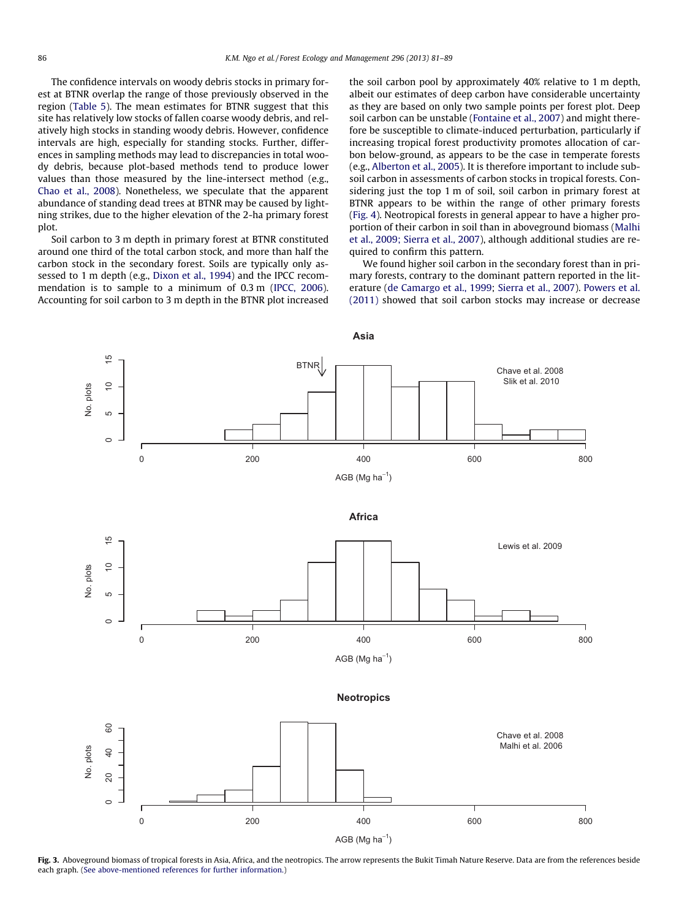<span id="page-5-0"></span>The confidence intervals on woody debris stocks in primary forest at BTNR overlap the range of those previously observed in the region [\(Table 5\)](#page-6-0). The mean estimates for BTNR suggest that this site has relatively low stocks of fallen coarse woody debris, and relatively high stocks in standing woody debris. However, confidence intervals are high, especially for standing stocks. Further, differences in sampling methods may lead to discrepancies in total woody debris, because plot-based methods tend to produce lower values than those measured by the line-intersect method (e.g., [Chao et al., 2008\)](#page-7-0). Nonetheless, we speculate that the apparent abundance of standing dead trees at BTNR may be caused by lightning strikes, due to the higher elevation of the 2-ha primary forest plot.

Soil carbon to 3 m depth in primary forest at BTNR constituted around one third of the total carbon stock, and more than half the carbon stock in the secondary forest. Soils are typically only assessed to 1 m depth (e.g., [Dixon et al., 1994\)](#page-7-0) and the IPCC recommendation is to sample to a minimum of 0.3 m [\(IPCC, 2006\)](#page-7-0). Accounting for soil carbon to 3 m depth in the BTNR plot increased the soil carbon pool by approximately 40% relative to 1 m depth, albeit our estimates of deep carbon have considerable uncertainty as they are based on only two sample points per forest plot. Deep soil carbon can be unstable [\(Fontaine et al., 2007\)](#page-7-0) and might therefore be susceptible to climate-induced perturbation, particularly if increasing tropical forest productivity promotes allocation of carbon below-ground, as appears to be the case in temperate forests (e.g., [Alberton et al., 2005\)](#page-7-0). It is therefore important to include subsoil carbon in assessments of carbon stocks in tropical forests. Considering just the top 1 m of soil, soil carbon in primary forest at BTNR appears to be within the range of other primary forests ([Fig. 4\)](#page-6-0). Neotropical forests in general appear to have a higher proportion of their carbon in soil than in aboveground biomass ([Malhi](#page-7-0) [et al., 2009; Sierra et al., 2007](#page-7-0)), although additional studies are required to confirm this pattern.

We found higher soil carbon in the secondary forest than in primary forests, contrary to the dominant pattern reported in the literature ([de Camargo et al., 1999;](#page-7-0) [Sierra et al., 2007\)](#page-7-0). [Powers et al.](#page-7-0) [\(2011\)](#page-7-0) showed that soil carbon stocks may increase or decrease



Fig. 3. Aboveground biomass of tropical forests in Asia, Africa, and the neotropics. The arrow represents the Bukit Timah Nature Reserve. Data are from the references beside each graph. [\(See above-mentioned references for further information.](#page-7-0))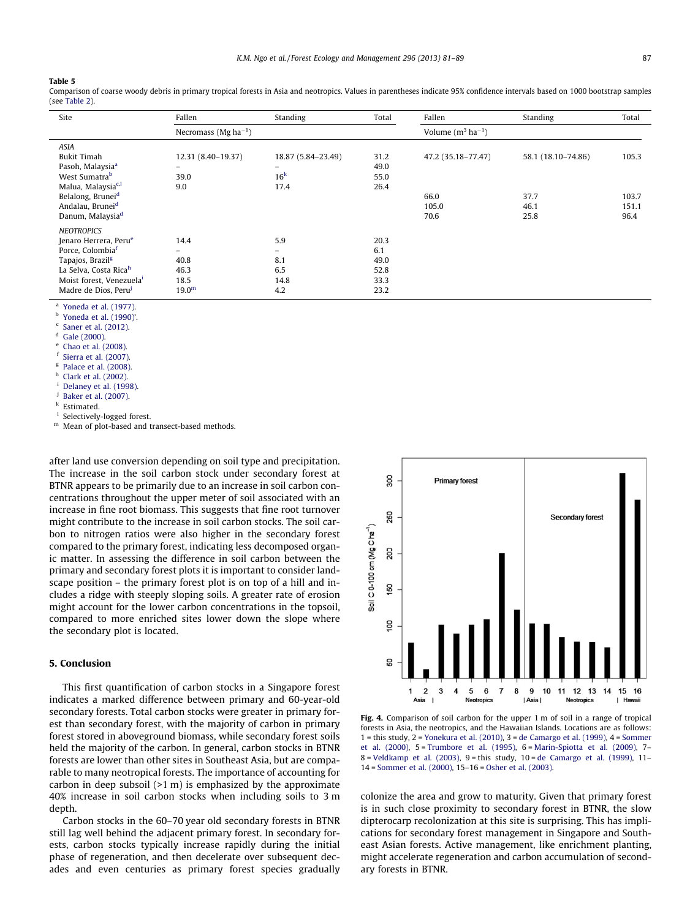#### <span id="page-6-0"></span>Table 5

Comparison of coarse woody debris in primary tropical forests in Asia and neotropics. Values in parentheses indicate 95% confidence intervals based on 1000 bootstrap samples (see [Table 2](#page-3-0)).

| Site                                                                                                                                                                                                                                    | Fallen                                            | Standing                                             | Total                                       | Fallen                                      | Standing                                   | Total                           |
|-----------------------------------------------------------------------------------------------------------------------------------------------------------------------------------------------------------------------------------------|---------------------------------------------------|------------------------------------------------------|---------------------------------------------|---------------------------------------------|--------------------------------------------|---------------------------------|
|                                                                                                                                                                                                                                         | Necromass (Mg ha <sup>-1</sup> )                  |                                                      |                                             | Volume $(m^3 \text{ ha}^{-1})$              |                                            |                                 |
| <b>ASIA</b><br><b>Bukit Timah</b><br>Pasoh, Malaysia <sup>a</sup><br>West Sumatra <sup>b</sup><br>Malua, Malaysia <sup>c,l</sup><br>Belalong, Brunei <sup>d</sup><br>Andalau, Brunei <sup>d</sup><br>Danum, Malaysia <sup>d</sup>       | 12.31 (8.40-19.37)<br>$\equiv$<br>39.0<br>9.0     | 18.87 (5.84-23.49)<br>$-$<br>16 <sup>k</sup><br>17.4 | 31.2<br>49.0<br>55.0<br>26.4                | 47.2 (35.18-77.47)<br>66.0<br>105.0<br>70.6 | 58.1 (18.10-74.86)<br>37.7<br>46.1<br>25.8 | 105.3<br>103.7<br>151.1<br>96.4 |
| <b>NEOTROPICS</b><br>Jenaro Herrera, Peru <sup>e</sup><br>Porce, Colombia <sup>f</sup><br>Tapajos, Brazil <sup>g</sup><br>La Selva, Costa Rica <sup>h</sup><br>Moist forest, Venezuela <sup>i</sup><br>Madre de Dios, Peru <sup>j</sup> | 14.4<br>40.8<br>46.3<br>18.5<br>19.0 <sup>m</sup> | 5.9<br>-<br>8.1<br>6.5<br>14.8<br>4.2                | 20.3<br>6.1<br>49.0<br>52.8<br>33.3<br>23.2 |                                             |                                            |                                 |

<sup>a</sup> [Yoneda et al. \(1977\)](#page-8-0).

[Yoneda et al. \(1990\)'](#page-8-0).

 $^{\rm c}$  [Saner et al. \(2012\)](#page-7-0).

[Gale \(2000\).](#page-7-0)

[Chao et al. \(2008\).](#page-7-0)

[Sierra et al. \(2007\)](#page-7-0).

 $g$  [Palace et al. \(2008\).](#page-7-0)

[Clark et al. \(2002\)](#page-7-0).

[Delaney et al. \(1998\)](#page-7-0).

[Baker et al. \(2007\).](#page-7-0)

Estimated.

Selectively-logged forest.

<sup>m</sup> Mean of plot-based and transect-based methods.

after land use conversion depending on soil type and precipitation. The increase in the soil carbon stock under secondary forest at BTNR appears to be primarily due to an increase in soil carbon concentrations throughout the upper meter of soil associated with an increase in fine root biomass. This suggests that fine root turnover might contribute to the increase in soil carbon stocks. The soil carbon to nitrogen ratios were also higher in the secondary forest compared to the primary forest, indicating less decomposed organic matter. In assessing the difference in soil carbon between the primary and secondary forest plots it is important to consider landscape position – the primary forest plot is on top of a hill and includes a ridge with steeply sloping soils. A greater rate of erosion might account for the lower carbon concentrations in the topsoil, compared to more enriched sites lower down the slope where the secondary plot is located.

# 5. Conclusion

This first quantification of carbon stocks in a Singapore forest indicates a marked difference between primary and 60-year-old secondary forests. Total carbon stocks were greater in primary forest than secondary forest, with the majority of carbon in primary forest stored in aboveground biomass, while secondary forest soils held the majority of the carbon. In general, carbon stocks in BTNR forests are lower than other sites in Southeast Asia, but are comparable to many neotropical forests. The importance of accounting for carbon in deep subsoil (>1 m) is emphasized by the approximate 40% increase in soil carbon stocks when including soils to 3 m depth.

Carbon stocks in the 60–70 year old secondary forests in BTNR still lag well behind the adjacent primary forest. In secondary forests, carbon stocks typically increase rapidly during the initial phase of regeneration, and then decelerate over subsequent decades and even centuries as primary forest species gradually



Fig. 4. Comparison of soil carbon for the upper 1 m of soil in a range of tropical forests in Asia, the neotropics, and the Hawaiian Islands. Locations are as follows:  $1 =$  this study,  $2 =$  [Yonekura et al. \(2010\),](#page-8-0)  $3 =$  [de Camargo et al. \(1999\)](#page-7-0),  $4 =$  [Sommer](#page-8-0) [et al. \(2000\),](#page-8-0) 5= [Trumbore et al. \(1995\),](#page-8-0) 6= [Marin-Spiotta et al. \(2009\)](#page-7-0), 7– 8 = [Veldkamp et al. \(2003\),](#page-8-0) 9 = this study,  $10 =$  [de Camargo et al. \(1999\),](#page-7-0)  $11 -$ 14 = [Sommer et al. \(2000\)](#page-8-0), 15–16 = [Osher et al. \(2003\).](#page-7-0)

colonize the area and grow to maturity. Given that primary forest is in such close proximity to secondary forest in BTNR, the slow dipterocarp recolonization at this site is surprising. This has implications for secondary forest management in Singapore and Southeast Asian forests. Active management, like enrichment planting, might accelerate regeneration and carbon accumulation of secondary forests in BTNR.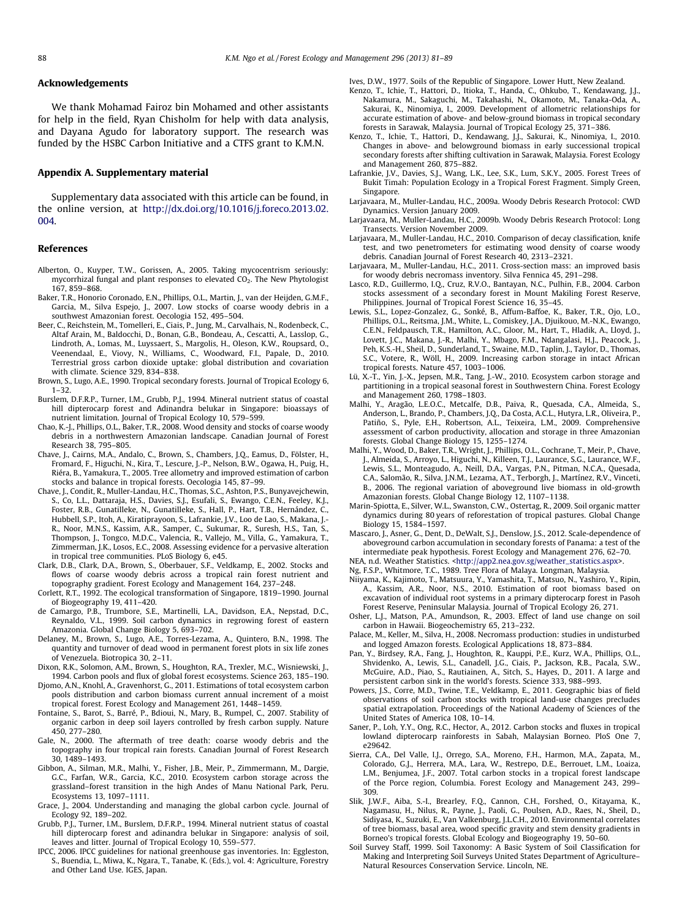# <span id="page-7-0"></span>Acknowledgements

We thank Mohamad Fairoz bin Mohamed and other assistants for help in the field, Ryan Chisholm for help with data analysis, and Dayana Agudo for laboratory support. The research was funded by the HSBC Carbon Initiative and a CTFS grant to K.M.N.

#### Appendix A. Supplementary material

Supplementary data associated with this article can be found, in the online version, at [http://dx.doi.org/10.1016/j.foreco.2013.02.](http://dx.doi.org/10.1016/j.foreco.2013.02.004) [004.](http://dx.doi.org/10.1016/j.foreco.2013.02.004)

## References

- Alberton, O., Kuyper, T.W., Gorissen, A., 2005. Taking mycocentrism seriously: mycorrhizal fungal and plant responses to elevated CO<sub>2</sub>. The New Phytologist 167, 859–868.
- Baker, T.R., Honorio Coronado, E.N., Phillips, O.L., Martin, J., van der Heijden, G.M.F., Garcia, M., Silva Espejo, J., 2007. Low stocks of coarse woody debris in a southwest Amazonian forest. Oecologia 152, 495–504.
- Beer, C., Reichstein, M., Tomelleri, E., Ciais, P., Jung, M., Carvalhais, N., Rodenbeck, C., Altaf Arain, M., Baldocchi, D., Bonan, G.B., Bondeau, A., Cescatti, A., Lasslop, G., Lindroth, A., Lomas, M., Luyssaert, S., Margolis, H., Oleson, K.W., Roupsard, O., Veenendaal, E., Viovy, N., Williams, C., Woodward, F.I., Papale, D., 2010. Terrestrial gross carbon dioxide uptake: global distribution and covariation with climate. Science 329, 834–838.
- Brown, S., Lugo, A.E., 1990. Tropical secondary forests. Journal of Tropical Ecology 6, 1–32.
- Burslem, D.F.R.P., Turner, I.M., Grubb, P.J., 1994. Mineral nutrient status of coastal hill dipterocarp forest and Adinandra belukar in Singapore: bioassays of nutrient limitation. Journal of Tropical Ecology 10, 579–599.
- Chao, K.-J., Phillips, O.L., Baker, T.R., 2008. Wood density and stocks of coarse woody debris in a northwestern Amazonian landscape. Canadian Journal of Forest Research 38, 795–805.
- Chave, J., Cairns, M.A., Andalo, C., Brown, S., Chambers, J.Q., Eamus, D., Fölster, H., Fromard, F., Higuchi, N., Kira, T., Lescure, J.-P., Nelson, B.W., Ogawa, H., Puig, H., Riéra, B., Yamakura, T., 2005. Tree allometry and improved estimation of carbon stocks and balance in tropical forests. Oecologia 145, 87–99.
- Chave, J., Condit, R., Muller-Landau, H.C., Thomas, S.C., Ashton, P.S., Bunyavejchewin, S., Co, L.L., Dattaraja, H.S., Davies, S.J., Esufali, S., Ewango, C.E.N., Feeley, K.J., Foster, R.B., Gunatilleke, N., Gunatilleke, S., Hall, P., Hart, T.B., Hernández, C., Hubbell, S.P., Itoh, A., Kiratiprayoon, S., Lafrankie, J.V., Loo de Lao, S., Makana, J.- R., Noor, M.N.S., Kassim, A.R., Samper, C., Sukumar, R., Suresh, H.S., Tan, S., Thompson, J., Tongco, M.D.C., Valencia, R., Vallejo, M., Villa, G., Yamakura, T., Zimmerman, J.K., Losos, E.C., 2008. Assessing evidence for a pervasive alteration in tropical tree communities. PLoS Biology 6, e45.
- Clark, D.B., Clark, D.A., Brown, S., Oberbauer, S.F., Veldkamp, E., 2002. Stocks and flows of coarse woody debris across a tropical rain forest nutrient and topography gradient. Forest Ecology and Management 164, 237–248.
- Corlett, R.T., 1992. The ecological transformation of Singapore, 1819–1990. Journal of Biogeography 19, 411–420.
- de Camargo, P.B., Trumbore, S.E., Martinelli, L.A., Davidson, E.A., Nepstad, D.C., Reynaldo, V.L., 1999. Soil carbon dynamics in regrowing forest of eastern Amazonia. Global Change Biology 5, 693–702.
- Delaney, M., Brown, S., Lugo, A.E., Torres-Lezama, A., Quintero, B.N., 1998. The quantity and turnover of dead wood in permanent forest plots in six life zones of Venezuela. Biotropica 30, 2–11.
- Dixon, R.K., Solomon, A.M., Brown, S., Houghton, R.A., Trexler, M.C., Wisniewski, J., 1994. Carbon pools and flux of global forest ecosystems. Science 263, 185–190.
- Djomo, A.N., Knohl, A., Gravenhorst, G., 2011. Estimations of total ecosystem carbon pools distribution and carbon biomass current annual increment of a moist tropical forest. Forest Ecology and Management 261, 1448–1459.
- Fontaine, S., Barot, S., Barré, P., Bdioui, N., Mary, B., Rumpel, C., 2007. Stability of organic carbon in deep soil layers controlled by fresh carbon supply. Nature 450, 277–280.
- Gale, N., 2000. The aftermath of tree death: coarse woody debris and the topography in four tropical rain forests. Canadian Journal of Forest Research 30, 1489–1493.
- Gibbon, A., Silman, M.R., Malhi, Y., Fisher, J.B., Meir, P., Zimmermann, M., Dargie, G.C., Farfan, W.R., Garcia, K.C., 2010. Ecosystem carbon storage across the grassland–forest transition in the high Andes of Manu National Park, Peru. Ecosystems 13, 1097–1111.
- Grace, J., 2004. Understanding and managing the global carbon cycle. Journal of Ecology 92, 189–202.
- Grubb, P.J., Turner, I.M., Burslem, D.F.R.P., 1994. Mineral nutrient status of coastal hill dipterocarp forest and adinandra belukar in Singapore: analysis of soil, leaves and litter. Journal of Tropical Ecology 10, 559–577.
- IPCC, 2006. IPCC guidelines for national greenhouse gas inventories. In: Eggleston, S., Buendia, L., Miwa, K., Ngara, T., Tanabe, K. (Eds.), vol. 4: Agriculture, Forestry and Other Land Use. IGES, Japan.

Ives, D.W., 1977. Soils of the Republic of Singapore. Lower Hutt, New Zealand.

- Kenzo, T., Ichie, T., Hattori, D., Itioka, T., Handa, C., Ohkubo, T., Kendawang, J.J., Nakamura, M., Sakaguchi, M., Takahashi, N., Okamoto, M., Tanaka-Oda, A., Sakurai, K., Ninomiya, I., 2009. Development of allometric relationships for accurate estimation of above- and below-ground biomass in tropical secondary forests in Sarawak, Malaysia. Journal of Tropical Ecology 25, 371–386.
- Kenzo, T., Ichie, T., Hattori, D., Kendawang, J.J., Sakurai, K., Ninomiya, I., 2010. Changes in above- and belowground biomass in early successional tropical secondary forests after shifting cultivation in Sarawak, Malaysia. Forest Ecology and Management 260, 875–882.
- Lafrankie, J.V., Davies, S.J., Wang, L.K., Lee, S.K., Lum, S.K.Y., 2005. Forest Trees of Bukit Timah: Population Ecology in a Tropical Forest Fragment. Simply Green, Singapore.
- Larjavaara, M., Muller-Landau, H.C., 2009a. Woody Debris Research Protocol: CWD Dynamics. Version January 2009.
- Larjavaara, M., Muller-Landau, H.C., 2009b. Woody Debris Research Protocol: Long Transects. Version November 2009.
- Larjavaara, M., Muller-Landau, H.C., 2010. Comparison of decay classification, knife test, and two penetrometers for estimating wood density of coarse woody debris. Canadian Journal of Forest Research 40, 2313–2321.
- Larjavaara, M., Muller-Landau, H.C., 2011. Cross-section mass: an improved basis for woody debris necromass inventory. Silva Fennica 45, 291–298.
- Lasco, R.D., Guillermo, I.Q., Cruz, R.V.O., Bantayan, N.C., Pulhin, F.B., 2004. Carbon stocks assessment of a secondary forest in Mount Makiling Forest Reserve, Philippines. Journal of Tropical Forest Science 16, 35–45.
- Lewis, S.L., Lopez-Gonzalez, G., Sonké, B., Affum-Baffoe, K., Baker, T.R., Ojo, L.O., Phillips, O.L., Reitsma, J.M., White, L., Comiskey, J.A., Djuikouo, M.-N.K., Ewango, C.E.N., Feldpausch, T.R., Hamilton, A.C., Gloor, M., Hart, T., Hladik, A., Lloyd, J., Lovett, J.C., Makana, J.-R., Malhi, Y., Mbago, F.M., Ndangalasi, H.J., Peacock, J., Peh, K.S.-H., Sheil, D., Sunderland, T., Swaine, M.D., Taplin, J., Taylor, D., Thomas, S.C., Votere, R., Wöll, H., 2009. Increasing carbon storage in intact African tropical forests. Nature 457, 1003–1006.
- Lü, X.-T., Yin, J.-X., Jepsen, M.R., Tang, J.-W., 2010. Ecosystem carbon storage and partitioning in a tropical seasonal forest in Southwestern China. Forest Ecology and Management 260, 1798–1803.
- Malhi, Y., Aragão, L.E.O.C., Metcalfe, D.B., Paiva, R., Quesada, C.A., Almeida, S., Anderson, L., Brando, P., Chambers, J.Q., Da Costa, A.C.L., Hutyra, L.R., Oliveira, P., Patiño, S., Pyle, E.H., Robertson, A.L., Teixeira, L.M., 2009. Comprehensive assessment of carbon productivity, allocation and storage in three Amazonian forests. Global Change Biology 15, 1255–1274.
- Malhi, Y., Wood, D., Baker, T.R., Wright, J., Phillips, O.L., Cochrane, T., Meir, P., Chave, J., Almeida, S., Arroyo, L., Higuchi, N., Killeen, T.J., Laurance, S.G., Laurance, W.F., Lewis, S.L., Monteagudo, A., Neill, D.A., Vargas, P.N., Pitman, N.C.A., Quesada, C.A., Salomão, R., Silva, J.N.M., Lezama, A.T., Terborgh, J., Martínez, R.V., Vinceti, B., 2006. The regional variation of aboveground live biomass in old-growth Amazonian forests. Global Change Biology 12, 1107–1138.
- Marin-Spiotta, E., Silver, W.L., Swanston, C.W., Ostertag, R., 2009. Soil organic matter dynamics during 80 years of reforestation of tropical pastures. Global Change Biology 15, 1584–1597.
- Mascaro, J., Asner, G., Dent, D., DeWalt, S.J., Denslow, J.S., 2012. Scale-dependence of aboveground carbon accumulation in secondary forests of Panama: a test of the intermediate peak hypothesis. Forest Ecology and Management 276, 62–70.
- NEA, n.d. Weather Statistics. <[http://app2.nea.gov.sg/weather\\_statistics.aspx>](http://app2.nea.gov.sg/weather_statistics.aspx).
- Ng, F.S.P., Whitmore, T.C., 1989. Tree Flora of Malaya. Longman, Malaysia.
- Niiyama, K., Kajimoto, T., Matsuura, Y., Yamashita, T., Matsuo, N., Yashiro, Y., Ripin, A., Kassim, A.R., Noor, N.S., 2010. Estimation of root biomass based on excavation of individual root systems in a primary dipterocarp forest in Pasoh Forest Reserve, Peninsular Malaysia. Journal of Tropical Ecology 26, 271.
- Osher, L.J., Matson, P.A., Amundson, R., 2003. Effect of land use change on soil carbon in Hawaii. Biogeochemistry 65, 213–232.
- Palace, M., Keller, M., Silva, H., 2008. Necromass production: studies in undisturbed and logged Amazon forests. Ecological Applications 18, 873–884.
- Pan, Y., Birdsey, R.A., Fang, J., Houghton, R., Kauppi, P.E., Kurz, W.A., Phillips, O.L., Shvidenko, A., Lewis, S.L., Canadell, J.G., Ciais, P., Jackson, R.B., Pacala, S.W., McGuire, A.D., Piao, S., Rautiainen, A., Sitch, S., Hayes, D., 2011. A large and persistent carbon sink in the world's forests. Science 333, 988–993.
- Powers, J.S., Corre, M.D., Twine, T.E., Veldkamp, E., 2011. Geographic bias of field observations of soil carbon stocks with tropical land-use changes precludes spatial extrapolation. Proceedings of the National Academy of Sciences of the United States of America 108, 10–14.
- Saner, P., Loh, Y.Y., Ong, R.C., Hector, A., 2012. Carbon stocks and fluxes in tropical lowland dipterocarp rainforests in Sabah, Malaysian Borneo. PloS One 7, e29642.
- Sierra, C.A., Del Valle, I.J., Orrego, S.A., Moreno, F.H., Harmon, M.A., Zapata, M., Colorado, G.J., Herrera, M.A., Lara, W., Restrepo, D.E., Berrouet, L.M., Loaiza, L.M., Benjumea, J.F., 2007. Total carbon stocks in a tropical forest landscape of the Porce region, Columbia. Forest Ecology and Management 243, 299– 309.
- Slik, J.W.F., Aiba, S.-I., Brearley, F.Q., Cannon, C.H., Forshed, O., Kitayama, K., Nagamasu, H., Nilus, R., Payne, J., Paoli, G., Poulsen, A.D., Raes, N., Sheil, D., Sidiyasa, K., Suzuki, E., Van Valkenburg, J.L.C.H., 2010. Environmental correlates of tree biomass, basal area, wood specific gravity and stem density gradients in Borneo's tropical forests. Global Ecology and Biogeography 19, 50–60.
- Soil Survey Staff, 1999. Soil Taxonomy: A Basic System of Soil Classification for Making and Interpreting Soil Surveys United States Department of Agriculture– Natural Resources Conservation Service. Lincoln, NE.